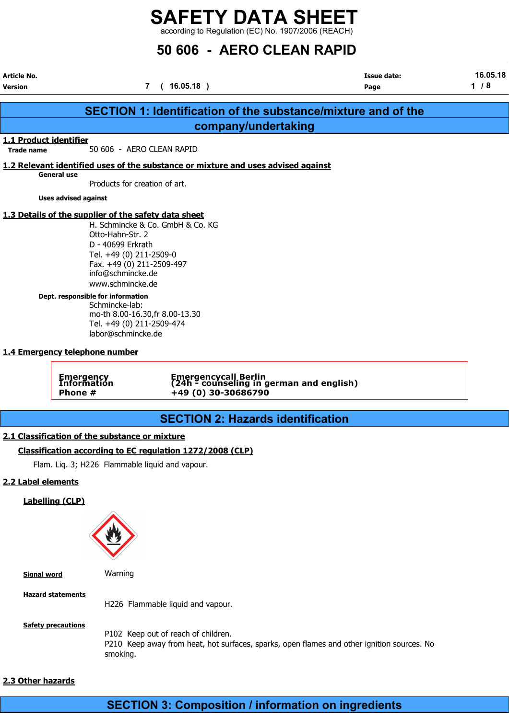# SAFETY DATA SHEET

according to Regulation (EC) No. 1907/2006 (REACH)

## 50 606 - AERO CLEAN RAPID

Article No. Issue date: 16.05.18 Version 7 ( 16.05.18 ) Page 1 / 8

|                                                     |                                                                                                                                                                            | <b>SECTION 1: Identification of the substance/mixture and of the</b>                                                                          |  |  |  |  |  |  |  |
|-----------------------------------------------------|----------------------------------------------------------------------------------------------------------------------------------------------------------------------------|-----------------------------------------------------------------------------------------------------------------------------------------------|--|--|--|--|--|--|--|
|                                                     |                                                                                                                                                                            | company/undertaking                                                                                                                           |  |  |  |  |  |  |  |
| 1.1 Product identifier<br><b>Trade name</b>         |                                                                                                                                                                            | 50 606 - AERO CLEAN RAPID                                                                                                                     |  |  |  |  |  |  |  |
|                                                     |                                                                                                                                                                            | 1.2 Relevant identified uses of the substance or mixture and uses advised against                                                             |  |  |  |  |  |  |  |
| <b>General use</b><br>Products for creation of art. |                                                                                                                                                                            |                                                                                                                                               |  |  |  |  |  |  |  |
|                                                     | <b>Uses advised against</b>                                                                                                                                                |                                                                                                                                               |  |  |  |  |  |  |  |
|                                                     |                                                                                                                                                                            | 1.3 Details of the supplier of the safety data sheet                                                                                          |  |  |  |  |  |  |  |
|                                                     | H. Schmincke & Co. GmbH & Co. KG<br>Otto-Hahn-Str. 2<br>D - 40699 Erkrath<br>Tel. +49 (0) 211-2509-0<br>Fax. +49 (0) 211-2509-497<br>info@schmincke.de<br>www.schmincke.de |                                                                                                                                               |  |  |  |  |  |  |  |
|                                                     | Dept. responsible for information<br>Schmincke-lab:<br>mo-th 8.00-16.30, fr 8.00-13.30<br>Tel. +49 (0) 211-2509-474<br>labor@schmincke.de                                  |                                                                                                                                               |  |  |  |  |  |  |  |
| 1.4 Emergency telephone number                      |                                                                                                                                                                            |                                                                                                                                               |  |  |  |  |  |  |  |
|                                                     | Emergency<br>Information<br>Phone #                                                                                                                                        | Emergencycall Berlin<br>(24h - counseling in german and english)<br>+49 (0) 30-30686790                                                       |  |  |  |  |  |  |  |
|                                                     |                                                                                                                                                                            | <b>SECTION 2: Hazards identification</b>                                                                                                      |  |  |  |  |  |  |  |
|                                                     |                                                                                                                                                                            | 2.1 Classification of the substance or mixture                                                                                                |  |  |  |  |  |  |  |
|                                                     |                                                                                                                                                                            | Classification according to EC regulation 1272/2008 (CLP)                                                                                     |  |  |  |  |  |  |  |
|                                                     |                                                                                                                                                                            | Flam. Liq. 3; H226 Flammable liquid and vapour.                                                                                               |  |  |  |  |  |  |  |
| 2.2 Label elements                                  |                                                                                                                                                                            |                                                                                                                                               |  |  |  |  |  |  |  |
|                                                     | <b>Labelling (CLP)</b>                                                                                                                                                     |                                                                                                                                               |  |  |  |  |  |  |  |
| <b>Signal word</b>                                  |                                                                                                                                                                            | Warning                                                                                                                                       |  |  |  |  |  |  |  |
|                                                     | <b>Hazard statements</b>                                                                                                                                                   | H226 Flammable liquid and vapour.                                                                                                             |  |  |  |  |  |  |  |
|                                                     | <b>Safety precautions</b>                                                                                                                                                  | P102 Keep out of reach of children.<br>P210 Keep away from heat, hot surfaces, sparks, open flames and other ignition sources. No<br>smoking. |  |  |  |  |  |  |  |
| 2.3 Other hazards                                   |                                                                                                                                                                            |                                                                                                                                               |  |  |  |  |  |  |  |

## SECTION 3: Composition / information on ingredients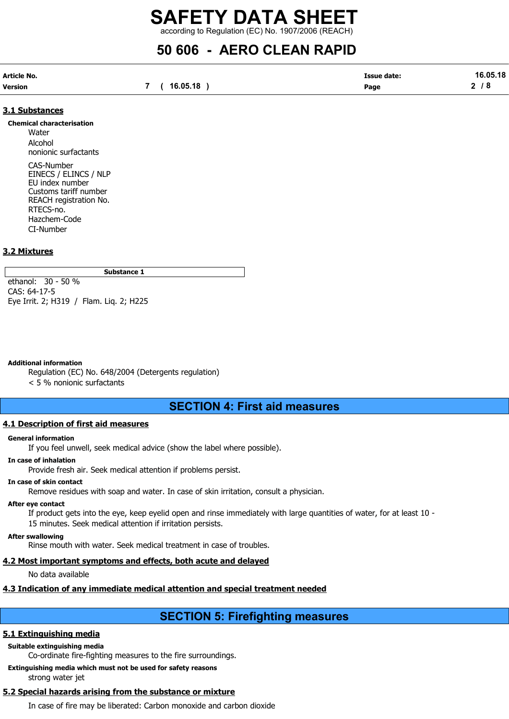## 50 606 - AERO CLEAN RAPID

| Article No. |              | <b>Issue date:</b> | 16.05.18 |
|-------------|--------------|--------------------|----------|
| Version     | 7 ( 16.05.18 | Page               | 2/8      |

### 3.1 Substances

#### Chemical characterisation

Water Alcohol nonionic surfactants CAS-Number

EINECS / ELINCS / NLP EU index number Customs tariff number REACH registration No. RTECS-no. Hazchem-Code CI-Number

### 3.2 Mixtures

Substance 1

ethanol: 30 - 50 % CAS: 64-17-5 Eye Irrit. 2; H319 / Flam. Liq. 2; H225

#### Additional information

Regulation (EC) No. 648/2004 (Detergents regulation)

< 5 % nonionic surfactants

### SECTION 4: First aid measures

### 4.1 Description of first aid measures

#### General information

If you feel unwell, seek medical advice (show the label where possible).

#### In case of inhalation

Provide fresh air. Seek medical attention if problems persist.

#### In case of skin contact

Remove residues with soap and water. In case of skin irritation, consult a physician.

#### After eye contact

If product gets into the eye, keep eyelid open and rinse immediately with large quantities of water, for at least 10 - 15 minutes. Seek medical attention if irritation persists.

#### After swallowing

Rinse mouth with water. Seek medical treatment in case of troubles.

### 4.2 Most important symptoms and effects, both acute and delayed

No data available

### 4.3 Indication of any immediate medical attention and special treatment needed

### SECTION 5: Firefighting measures

### 5.1 Extinguishing media

### Suitable extinguishing media

Co-ordinate fire-fighting measures to the fire surroundings.

Extinguishing media which must not be used for safety reasons strong water jet

### 5.2 Special hazards arising from the substance or mixture

In case of fire may be liberated: Carbon monoxide and carbon dioxide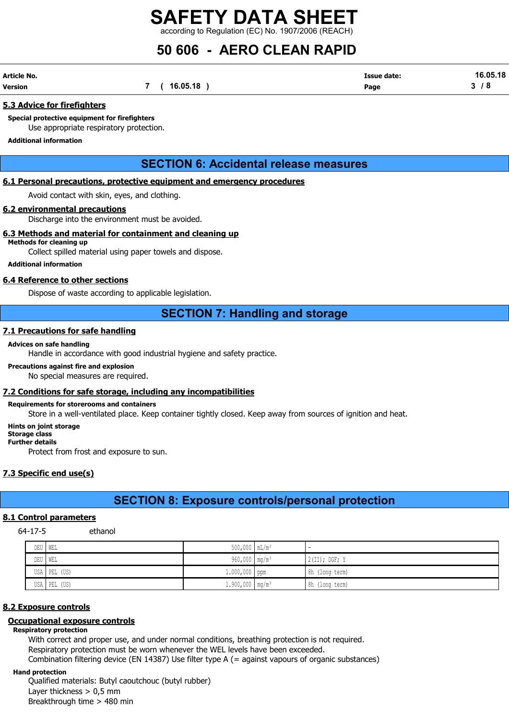## 50 606 - AERO CLEAN RAPID

| Article No. |                | <b>Issue date:</b> | 16.05.18 |
|-------------|----------------|--------------------|----------|
| Version     | 7 ( 16.05.18 , | Page               | 3/8      |

### 5.3 Advice for firefighters

Special protective equipment for firefighters Use appropriate respiratory protection.

#### Additional information

### SECTION 6: Accidental release measures

### 6.1 Personal precautions, protective equipment and emergency procedures

Avoid contact with skin, eyes, and clothing.

### 6.2 environmental precautions

Discharge into the environment must be avoided.

### 6.3 Methods and material for containment and cleaning up

### Methods for cleaning up

Collect spilled material using paper towels and dispose.

### Additional information

### 6.4 Reference to other sections

Dispose of waste according to applicable legislation.

### SECTION 7: Handling and storage

### 7.1 Precautions for safe handling

### Advices on safe handling

Handle in accordance with good industrial hygiene and safety practice.

### Precautions against fire and explosion

No special measures are required.

### 7.2 Conditions for safe storage, including any incompatibilities

### Requirements for storerooms and containers

Store in a well-ventilated place. Keep container tightly closed. Keep away from sources of ignition and heat.

#### Hints on joint storage

#### Storage class Further details

Protect from frost and exposure to sun.

### 7.3 Specific end use(s)

### SECTION 8: Exposure controls/personal protection

### 8.1 Control parameters

64-17-5 ethanol

| DEU   WEL    | $500,000$ $mL/m^3$            | -               |
|--------------|-------------------------------|-----------------|
| DEU   WEL    | 960,000 mg/m <sup>3</sup>     | $2(II);$ DGF; Y |
| USA PEL (US) | ⊥.000,000 ppm                 | 8h (long term)  |
| USA PEL (US) | $1.900,000$ mg/m <sup>3</sup> | 8h (long term)  |

### 8.2 Exposure controls

### Occupational exposure controls

### Respiratory protection

With correct and proper use, and under normal conditions, breathing protection is not required. Respiratory protection must be worn whenever the WEL levels have been exceeded. Combination filtering device (EN 14387) Use filter type A (= against vapours of organic substances)

#### Hand protection

Qualified materials: Butyl caoutchouc (butyl rubber) Layer thickness  $> 0.5$  mm Breakthrough time > 480 min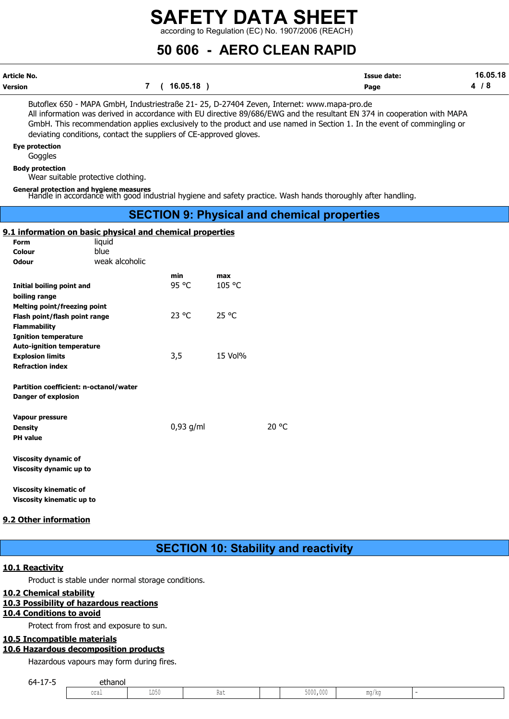50 606 - AERO CLEAN RAPID

| Article No. |          | Issue date: | 16.05.18 |
|-------------|----------|-------------|----------|
| Version     | 16.05.18 | Page        |          |

Butoflex 650 - MAPA GmbH, Industriestraße 21- 25, D-27404 Zeven, Internet: www.mapa-pro.de All information was derived in accordance with EU directive 89/686/EWG and the resultant EN 374 in cooperation with MAPA GmbH. This recommendation applies exclusively to the product and use named in Section 1. In the event of commingling or deviating conditions, contact the suppliers of CE-approved gloves.

Eye protection

**Goggles** 

Body protection

Wear suitable protective clothing.

General protection and hygiene measures Handle in accordance with good industrial hygiene and safety practice. Wash hands thoroughly after handling.

### SECTION 9: Physical and chemical properties

### 9.1 information on basic physical and chemical properties

| <b>Form</b>                            | <u>In press and enemies properties</u><br>liquid |                |         |       |
|----------------------------------------|--------------------------------------------------|----------------|---------|-------|
| Colour                                 | blue                                             |                |         |       |
| <b>Odour</b>                           | weak alcoholic                                   |                |         |       |
|                                        |                                                  | min            | max     |       |
| Initial boiling point and              |                                                  | 95 °C          | 105 °C  |       |
| boiling range                          |                                                  |                |         |       |
| <b>Melting point/freezing point</b>    |                                                  |                |         |       |
| Flash point/flash point range          |                                                  | $23^{\circ}$ C | 25 °C   |       |
| <b>Flammability</b>                    |                                                  |                |         |       |
| <b>Ignition temperature</b>            |                                                  |                |         |       |
| <b>Auto-ignition temperature</b>       |                                                  |                |         |       |
| <b>Explosion limits</b>                |                                                  | 3,5            | 15 Vol% |       |
| <b>Refraction index</b>                |                                                  |                |         |       |
|                                        |                                                  |                |         |       |
| Partition coefficient: n-octanol/water |                                                  |                |         |       |
| <b>Danger of explosion</b>             |                                                  |                |         |       |
| <b>Vapour pressure</b>                 |                                                  |                |         |       |
| <b>Density</b>                         |                                                  | $0,93$ g/ml    |         | 20 °C |
| <b>PH</b> value                        |                                                  |                |         |       |
|                                        |                                                  |                |         |       |
| <b>Viscosity dynamic of</b>            |                                                  |                |         |       |
| Viscosity dynamic up to                |                                                  |                |         |       |
|                                        |                                                  |                |         |       |
| <b>Viscosity kinematic of</b>          |                                                  |                |         |       |
| Viscosity kinematic up to              |                                                  |                |         |       |

### 9.2 Other information

### SECTION 10: Stability and reactivity

### 10.1 Reactivity

### 10.2 Chemical stability

### 10.3 Possibility of hazardous reactions

### 10.4 Conditions to avoid

### 10.5 Incompatible materials

### 10.6 Hazardous decomposition products

| Viscosity kinematic up to    | יואכטאנץ גוווכווומנוכ טו                           |      |                                             |          |       |                          |
|------------------------------|----------------------------------------------------|------|---------------------------------------------|----------|-------|--------------------------|
| Other information            |                                                    |      |                                             |          |       |                          |
|                              |                                                    |      | <b>SECTION 10: Stability and reactivity</b> |          |       |                          |
| 1 Reactivity                 |                                                    |      |                                             |          |       |                          |
|                              | Product is stable under normal storage conditions. |      |                                             |          |       |                          |
| 2 Chemical stability         |                                                    |      |                                             |          |       |                          |
| <b>4 Conditions to avoid</b> | 3 Possibility of hazardous reactions               |      |                                             |          |       |                          |
|                              | Protect from frost and exposure to sun.            |      |                                             |          |       |                          |
| 5 Incompatible materials     | 6 Hazardous decomposition products                 |      |                                             |          |       |                          |
|                              | Hazardous vapours may form during fires.           |      |                                             |          |       |                          |
| $64 - 17 - 5$                | ethanol                                            |      |                                             |          |       |                          |
|                              | oral                                               | LD50 | Rat                                         | 5000,000 | mg/kg | $\overline{\phantom{a}}$ |
|                              |                                                    |      |                                             |          |       |                          |
|                              |                                                    |      |                                             |          |       |                          |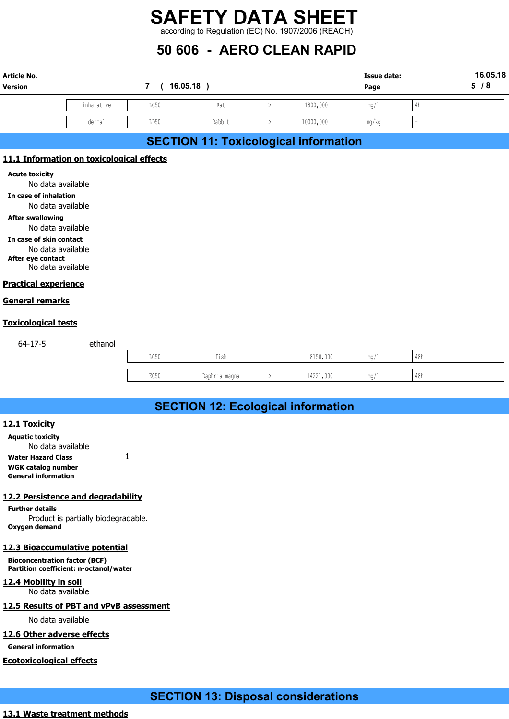## 50 606 - AERO CLEAN RAPID

|                                            |            |      | <b>SAFETY DATA SHEET</b>                           |               |           |                    |               |          |
|--------------------------------------------|------------|------|----------------------------------------------------|---------------|-----------|--------------------|---------------|----------|
|                                            |            |      | according to Regulation (EC) No. 1907/2006 (REACH) |               |           |                    |               |          |
|                                            |            |      | 50 606 - AERO CLEAN RAPID                          |               |           |                    |               |          |
| <b>Article No.</b>                         |            |      |                                                    |               |           | <b>Issue date:</b> |               | 16.05.18 |
| Version                                    |            | 7(   | $16.05.18$ )                                       |               |           | Page               |               | 5/8      |
|                                            | inhalative | LC50 | Rat                                                | $\rightarrow$ | 1800,000  | mg/1               | $4\mathrm{h}$ |          |
|                                            |            |      |                                                    |               |           |                    |               |          |
|                                            | dermal     | LD50 | Rabbit                                             | $\rightarrow$ | 10000,000 | mg/kg              |               |          |
|                                            |            |      | <b>SECTION 11: Toxicological information</b>       |               |           |                    |               |          |
| 11.1 Information on toxicological effects  |            |      |                                                    |               |           |                    |               |          |
| <b>Acute toxicity</b><br>No data available |            |      |                                                    |               |           |                    |               |          |

### SECTION 11: Toxicological information

### 11.1 Information on toxicological effects

In case of inhalation

No data available

After swallowing No data available

In case of skin contact

No data available After eye contact

No data available

### Practical experience

### General remarks

### Toxicological tests

64-17-5 ethanol

| ion on toxicological effects                              |               |                                           |               |           |      |                |  |
|-----------------------------------------------------------|---------------|-------------------------------------------|---------------|-----------|------|----------------|--|
| available<br>ation<br>available                           |               |                                           |               |           |      |                |  |
| g<br>available<br>contact<br>available<br>ct<br>available |               |                                           |               |           |      |                |  |
| <u>rience</u>                                             |               |                                           |               |           |      |                |  |
| <u>ks</u>                                                 |               |                                           |               |           |      |                |  |
| <u>tests</u>                                              |               |                                           |               |           |      |                |  |
| ethanol                                                   |               |                                           |               |           |      |                |  |
|                                                           | $_{\rm LC50}$ | fish                                      |               | 8150,000  | mg/1 | $48h$          |  |
|                                                           | EC50          | Daphnia magna                             | $\rightarrow$ | 14221,000 | mg/1 | $48\mathrm{h}$ |  |
|                                                           |               |                                           |               |           |      |                |  |
|                                                           |               | <b>SECTION 12: Ecological information</b> |               |           |      |                |  |
|                                                           |               |                                           |               |           |      |                |  |
| available                                                 |               |                                           |               |           |      |                |  |

## SECTION 12: Ecological information

### 12.1 Toxicity

Aquatic toxicity No data available Water Hazard Class 1 WGK catalog number General information

### 12.2 Persistence and degradability

Further details Product is partially biodegradable. Oxygen demand

### 12.3 Bioaccumulative potential

Bioconcentration factor (BCF) Partition coefficient: n-octanol/water

### 12.4 Mobility in soil

No data available

### 12.5 Results of PBT and vPvB assessment

No data available

### 12.6 Other adverse effects

General information

### Ecotoxicological effects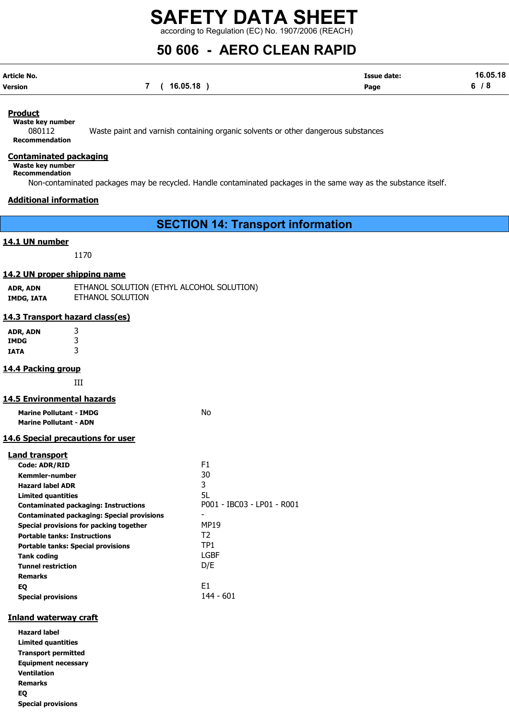## 50 606 - AERO CLEAN RAPID

| Article No. |                | <b>Issue date:</b> | 16.05.18 |
|-------------|----------------|--------------------|----------|
| Version     | 7 ( 16.05.18 ) | Page               | 6/8      |

### Product

Waste key number

080112 Waste paint and varnish containing organic solvents or other dangerous substances Recommendation

### Contaminated packaging

Waste key number

Recommendation

Non-contaminated packages may be recycled. Handle contaminated packages in the same way as the substance itself.

### Additional information

SECTION 14: Transport information

### 14.1 UN number

1170

### 14.2 UN proper shipping name

| ADR, ADN   | ETHANOL SOLUTION (ETHYL ALCOHOL SOLUTION) |
|------------|-------------------------------------------|
| IMDG, IATA | ETHANOL SOLUTION                          |

### 14.3 Transport hazard class(es)

ADR, ADN 3 IMDG 3 IATA 3

### 14.4 Packing group

III

#### 14.5 Environmental hazards

| <b>Marine Pollutant - IMDG</b>                    | No                         |
|---------------------------------------------------|----------------------------|
| <b>Marine Pollutant - ADN</b>                     |                            |
| <u>14.6 Special precautions for user</u>          |                            |
| Land transport                                    |                            |
| <b>Code: ADR/RID</b>                              | F1                         |
| <b>Kemmler-number</b>                             | 30                         |
| <b>Hazard label ADR</b>                           | 3                          |
| <b>Limited quantities</b>                         | 5L                         |
| <b>Contaminated packaging: Instructions</b>       | P001 - IBC03 - LP01 - R001 |
| <b>Contaminated packaging: Special provisions</b> |                            |
| Special provisions for packing together           | MP19                       |
| <b>Portable tanks: Instructions</b>               | T2                         |
| <b>Portable tanks: Special provisions</b>         | TP <sub>1</sub>            |
| <b>Tank coding</b>                                | LGBF                       |
| <b>Tunnel restriction</b>                         | D/E                        |
| <b>Remarks</b>                                    |                            |
| EQ                                                | E1.                        |
| <b>Special provisions</b>                         | 144 - 601                  |

### Inland waterway craft

Hazard label Limited quantities Transport permitted Equipment necessary Ventilation Remarks EQ Special provisions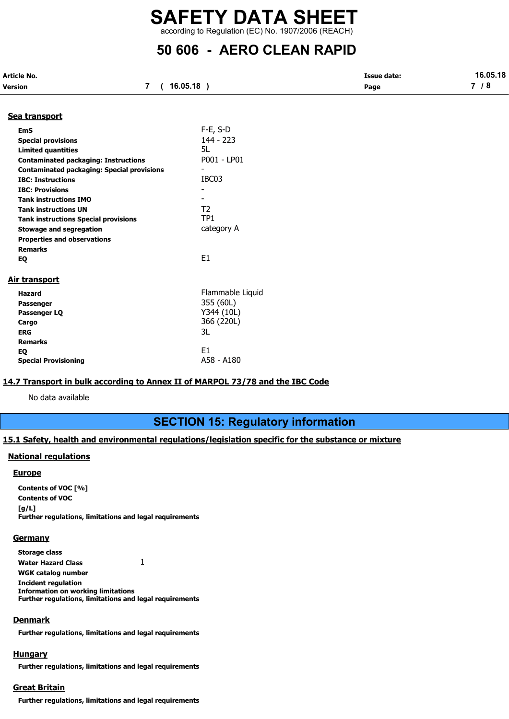## 50 606 - AERO CLEAN RAPID

| Article No.                                       |                          | <b>Issue date:</b> | 16.05.18 |  |
|---------------------------------------------------|--------------------------|--------------------|----------|--|
| $\overline{7}$<br>Version                         | $16.05.18$ )<br>$\left($ | Page               | 7/8      |  |
| Sea transport                                     |                          |                    |          |  |
| <b>EmS</b>                                        | $F-E$ , S-D              |                    |          |  |
| <b>Special provisions</b>                         | $144 - 223$              |                    |          |  |
| <b>Limited quantities</b>                         | 5L                       |                    |          |  |
| <b>Contaminated packaging: Instructions</b>       | P001 - LP01              |                    |          |  |
| <b>Contaminated packaging: Special provisions</b> |                          |                    |          |  |
| <b>IBC: Instructions</b>                          | IBC03                    |                    |          |  |
| <b>IBC: Provisions</b>                            |                          |                    |          |  |
| <b>Tank instructions IMO</b>                      |                          |                    |          |  |
| <b>Tank instructions UN</b>                       | T <sub>2</sub>           |                    |          |  |
| <b>Tank instructions Special provisions</b>       | TP <sub>1</sub>          |                    |          |  |
| <b>Stowage and segregation</b>                    | category A               |                    |          |  |
| <b>Properties and observations</b>                |                          |                    |          |  |
| <b>Remarks</b>                                    |                          |                    |          |  |
| EQ                                                | E <sub>1</sub>           |                    |          |  |
|                                                   |                          |                    |          |  |
| Air transport                                     |                          |                    |          |  |
| <b>Hazard</b>                                     | Flammable Liquid         |                    |          |  |
| Passenger                                         | 355 (60L)                |                    |          |  |
| Passenger LQ                                      | Y344 (10L)               |                    |          |  |
| Cargo                                             | 366 (220L)               |                    |          |  |
| <b>ERG</b>                                        | 3L                       |                    |          |  |
| <b>Remarks</b>                                    |                          |                    |          |  |
| EQ                                                | E <sub>1</sub>           |                    |          |  |
| <b>Special Provisioning</b>                       | A58 - A180               |                    |          |  |

### 14.7 Transport in bulk according to Annex II of MARPOL 73/78 and the IBC Code

No data available

### SECTION 15: Regulatory information

### 15.1 Safety, health and environmental regulations/legislation specific for the substance or mixture

### National regulations

#### **Europe**

Contents of VOC [%] Contents of VOC  $[g/L]$ Further regulations, limitations and legal requirements

#### **Germany**

Storage class Water Hazard Class 1 WGK catalog number Incident regulation Information on working limitations Further regulations, limitations and legal requirements

#### **Denmark**

Further regulations, limitations and legal requirements

### **Hungary**

Further regulations, limitations and legal requirements

### Great Britain

Further regulations, limitations and legal requirements